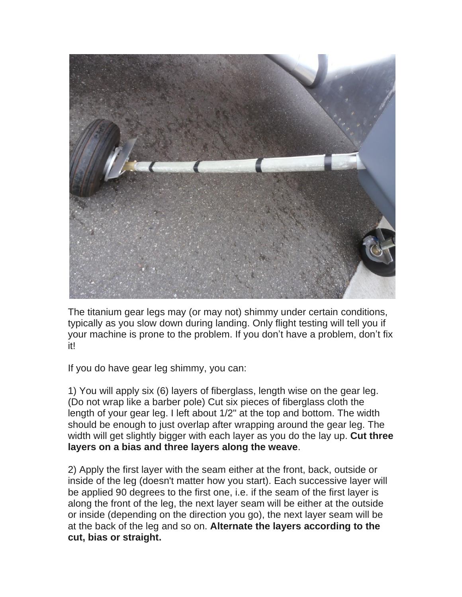

The titanium gear legs may (or may not) shimmy under certain conditions, typically as you slow down during landing. Only flight testing will tell you if your machine is prone to the problem. If you don't have a problem, don't fix it!

If you do have gear leg shimmy, you can:

1) You will apply six (6) layers of fiberglass, length wise on the gear leg. (Do not wrap like a barber pole) Cut six pieces of fiberglass cloth the length of your gear leg. I left about 1/2" at the top and bottom. The width should be enough to just overlap after wrapping around the gear leg. The width will get slightly bigger with each layer as you do the lay up. **Cut three layers on a bias and three layers along the weave**.

2) Apply the first layer with the seam either at the front, back, outside or inside of the leg (doesn't matter how you start). Each successive layer will be applied 90 degrees to the first one, i.e. if the seam of the first layer is along the front of the leg, the next layer seam will be either at the outside or inside (depending on the direction you go), the next layer seam will be at the back of the leg and so on. **Alternate the layers according to the cut, bias or straight.**